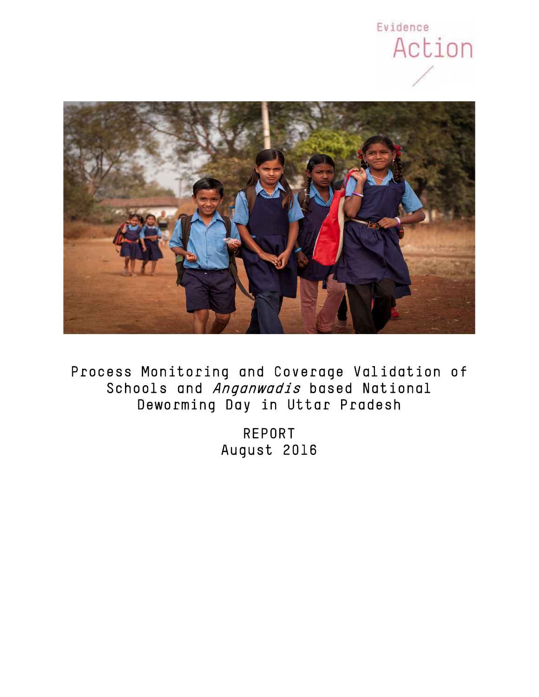



Process Monitoring and Coverage Validation of Schools and *Anganwadis* based National Deworming Day in Uttar Pradesh

> REPORT August 2016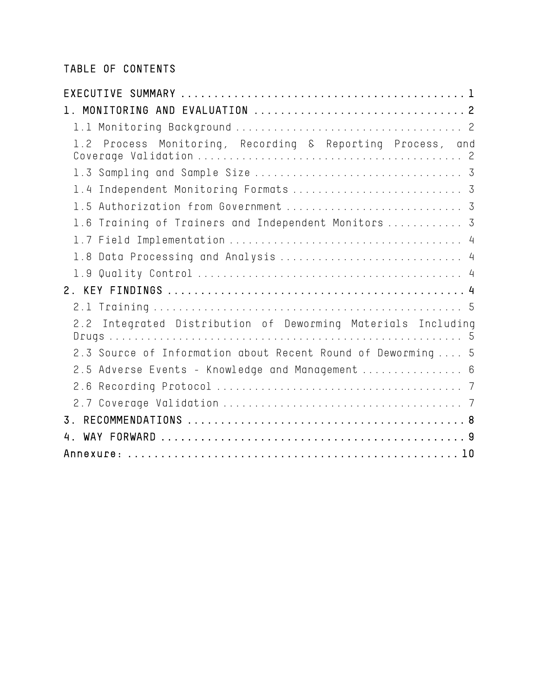# TABLE OF CONTENTS

| 1.2 Process Monitoring, Recording & Reporting Process, and   |
|--------------------------------------------------------------|
|                                                              |
| 1.4 Independent Monitoring Formats  3                        |
|                                                              |
| 1.6 Training of Trainers and Independent Monitors  3         |
|                                                              |
| 1.8 Data Processing and Analysis  4                          |
|                                                              |
|                                                              |
|                                                              |
| 2.2 Integrated Distribution of Deworming Materials Including |
| 2.3 Source of Information about Recent Round of Deworming  5 |
| 2.5 Adverse Events - Knowledge and Management  6             |
|                                                              |
|                                                              |
| $\overline{3}$                                               |
| 4.                                                           |
|                                                              |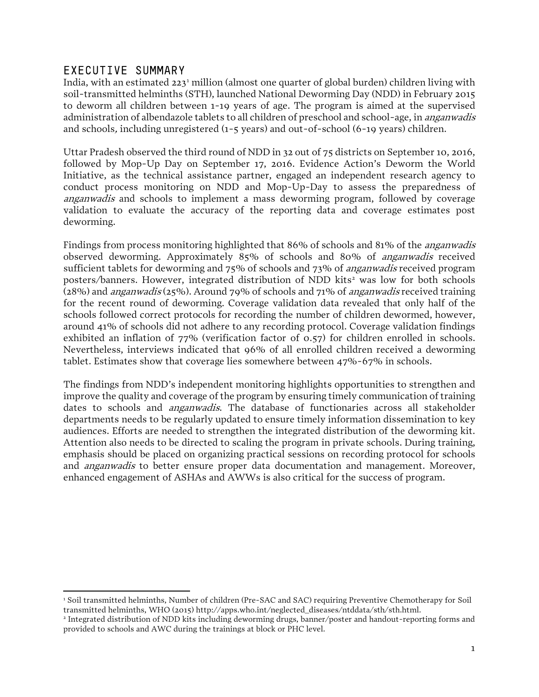### <span id="page-2-0"></span>EXECUTIVE SUMMARY

India, with an estimated 223<sup>[1](#page-2-2)</sup> million (almost one quarter of global burden) children living with soil-transmitted helminths (STH), launched National Deworming Day (NDD) in February 2015 to deworm all children between 1-19 years of age. The program is aimed at the supervised administration of albendazole tablets to all children of preschool and school-age, in anganwadis and schools, including unregistered (1-5 years) and out-of-school (6-19 years) children.

Uttar Pradesh observed the third round of NDD in 32 out of 75 districts on September 10, 2016, followed by Mop-Up Day on September 17, 2016. Evidence Action's Deworm the World Initiative, as the technical assistance partner, engaged an independent research agency to conduct process monitoring on NDD and Mop-Up-Day to assess the preparedness of anganwadis and schools to implement a mass deworming program, followed by coverage validation to evaluate the accuracy of the reporting data and coverage estimates post deworming.

Findings from process monitoring highlighted that 86% of schools and 81% of the anganwadis observed deworming. Approximately 85% of schools and 80% of anganwadis received sufficient tablets for deworming and 75% of schools and 73% of *anganwadis* received program posters/banners. However, integrated distribution of NDD kits<sup>[2](#page-2-3)</sup> was low for both schools (28%) and anganwadis (25%). Around 79% of schools and 71% of anganwadis received training for the recent round of deworming. Coverage validation data revealed that only half of the schools followed correct protocols for recording the number of children dewormed, however, around 41% of schools did not adhere to any recording protocol. Coverage validation findings exhibited an inflation of 77% (verification factor of 0.57) for children enrolled in schools. Nevertheless, interviews indicated that 96% of all enrolled children received a deworming tablet. Estimates show that coverage lies somewhere between 47%-67% in schools.

The findings from NDD's independent monitoring highlights opportunities to strengthen and improve the quality and coverage of the program by ensuring timely communication of training dates to schools and anganwadis. The database of functionaries across all stakeholder departments needs to be regularly updated to ensure timely information dissemination to key audiences. Efforts are needed to strengthen the integrated distribution of the deworming kit. Attention also needs to be directed to scaling the program in private schools. During training, emphasis should be placed on organizing practical sessions on recording protocol for schools and anganwadis to better ensure proper data documentation and management. Moreover, enhanced engagement of ASHAs and AWWs is also critical for the success of program.

<span id="page-2-2"></span><span id="page-2-1"></span> <sup>1</sup> Soil transmitted helminths, Number of children (Pre-SAC and SAC) requiring Preventive Chemotherapy for Soil transmitted helminths, WHO (2015) http://apps.who.int/neglected\_diseases/ntddata/sth/sth.html.

<span id="page-2-3"></span><sup>2</sup> Integrated distribution of NDD kits including deworming drugs, banner/poster and handout-reporting forms and provided to schools and AWC during the trainings at block or PHC level.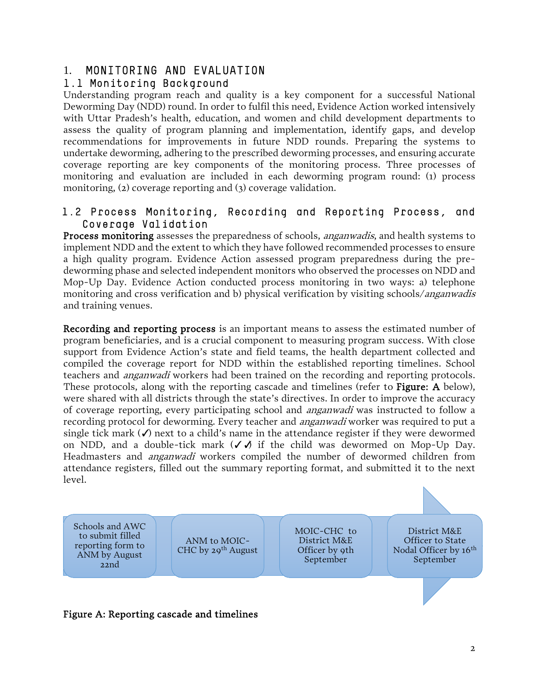## 1. MONITORING AND EVALUATION

#### <span id="page-3-0"></span>1.1 Monitoring Background

Understanding program reach and quality is a key component for a successful National Deworming Day (NDD) round. In order to fulfil this need, Evidence Action worked intensively with Uttar Pradesh's health, education, and women and child development departments to assess the quality of program planning and implementation, identify gaps, and develop recommendations for improvements in future NDD rounds. Preparing the systems to undertake deworming, adhering to the prescribed deworming processes, and ensuring accurate coverage reporting are key components of the monitoring process. Three processes of monitoring and evaluation are included in each deworming program round: (1) process monitoring, (2) coverage reporting and (3) coverage validation.

#### <span id="page-3-1"></span>1.2 Process Monitoring, Recording and Reporting Process, and Coverage Validation

Process monitoring assesses the preparedness of schools, *anganwadis*, and health systems to implement NDD and the extent to which they have followed recommended processes to ensure a high quality program. Evidence Action assessed program preparedness during the predeworming phase and selected independent monitors who observed the processes on NDD and Mop-Up Day. Evidence Action conducted process monitoring in two ways: a) telephone monitoring and cross verification and b) physical verification by visiting schools/anganwadis and training venues.

Recording and reporting process is an important means to assess the estimated number of program beneficiaries, and is a crucial component to measuring program success. With close support from Evidence Action's state and field teams, the health department collected and compiled the coverage report for NDD within the established reporting timelines. School teachers and *anganwadi* workers had been trained on the recording and reporting protocols. These protocols, along with the reporting cascade and timelines (refer to Figure: A below), were shared with all districts through the state's directives. In order to improve the accuracy of coverage reporting, every participating school and anganwadi was instructed to follow a recording protocol for deworming. Every teacher and *anganwadi* worker was required to put a single tick mark  $\mathcal O$  next to a child's name in the attendance register if they were dewormed on NDD, and a double-tick mark  $(\checkmark)$  if the child was dewormed on Mop-Up Day. Headmasters and anganwadi workers compiled the number of dewormed children from attendance registers, filled out the summary reporting format, and submitted it to the next level.



#### Figure A: Reporting cascade and timelines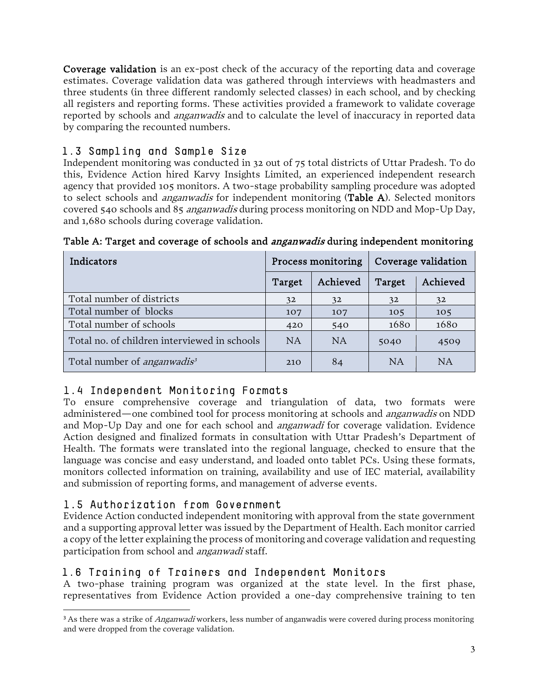Coverage validation is an ex-post check of the accuracy of the reporting data and coverage estimates. Coverage validation data was gathered through interviews with headmasters and three students (in three different randomly selected classes) in each school, and by checking all registers and reporting forms. These activities provided a framework to validate coverage reported by schools and *anganwadis* and to calculate the level of inaccuracy in reported data by comparing the recounted numbers.

## <span id="page-4-0"></span>1.3 Sampling and Sample Size

Independent monitoring was conducted in 32 out of 75 total districts of Uttar Pradesh. To do this, Evidence Action hired Karvy Insights Limited, an experienced independent research agency that provided 105 monitors. A two-stage probability sampling procedure was adopted to select schools and *anganwadis* for independent monitoring (Table A). Selected monitors covered 540 schools and 85 anganwadis during process monitoring on NDD and Mop-Up Day, and 1,680 schools during coverage validation.

| Indicators                                     |        | Process monitoring |           | Coverage validation |
|------------------------------------------------|--------|--------------------|-----------|---------------------|
|                                                | Target | Achieved           | Target    | Achieved            |
| Total number of districts                      | 32     | 32                 | 32        | 32                  |
| Total number of blocks                         | 107    | 107                | 105       | 105                 |
| Total number of schools                        | 420    | 540                | 1680      | 1680                |
| Total no. of children interviewed in schools   | NA     | <b>NA</b>          | 5040      | 4509                |
| Total number of <i>anganwadis</i> <sup>3</sup> | 210    | 84                 | <b>NA</b> | <b>NA</b>           |

<span id="page-4-1"></span>Table A: Target and coverage of schools and *anganwadis* during independent monitoring

# 1.4 Independent Monitoring Formats

To ensure comprehensive coverage and triangulation of data, two formats were administered—one combined tool for process monitoring at schools and anganwadis on NDD and Mop-Up Day and one for each school and anganwadi for coverage validation. Evidence Action designed and finalized formats in consultation with Uttar Pradesh's Department of Health. The formats were translated into the regional language, checked to ensure that the language was concise and easy understand, and loaded onto tablet PCs. Using these formats, monitors collected information on training, availability and use of IEC material, availability and submission of reporting forms, and management of adverse events.

# <span id="page-4-2"></span>1.5 Authorization from Government

Evidence Action conducted independent monitoring with approval from the state government and a supporting approval letter was issued by the Department of Health. Each monitor carried a copy of the letter explaining the process of monitoring and coverage validation and requesting participation from school and anganwadi staff.

# <span id="page-4-3"></span>1.6 Training of Trainers and Independent Monitors

A two-phase training program was organized at the state level. In the first phase, representatives from Evidence Action provided a one-day comprehensive training to ten

<span id="page-4-4"></span><sup>&</sup>lt;sup>3</sup> As there was a strike of *Anganwadi* workers, less number of anganwadis were covered during process monitoring and were dropped from the coverage validation.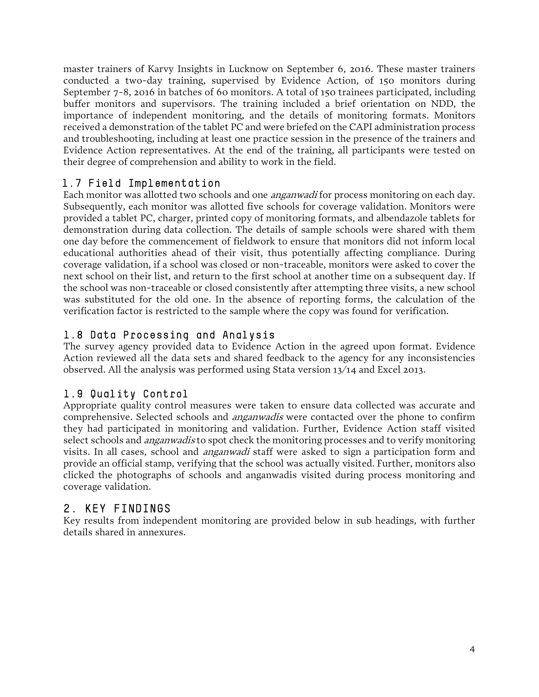master trainers of Karvy Insights in Lucknow on September 6, 2016. These master trainers conducted a two-day training, supervised by Evidence Action, of 150 monitors during September 7-8, 2016 in batches of 60 monitors. A total of 150 trainees participated, including buffer monitors and supervisors. The training included a brief orientation on NDD, the importance of independent monitoring, and the details of monitoring formats. Monitors received a demonstration of the tablet PC and were briefed on the CAPI administration process and troubleshooting, including at least one practice session in the presence of the trainers and Evidence Action representatives. At the end of the training, all participants were tested on their degree of comprehension and ability to work in the field.

### <span id="page-5-0"></span>1.7 Field Implementation

Each monitor was allotted two schools and one *anganwadi* for process monitoring on each day. Subsequently, each monitor was allotted five schools for coverage validation. Monitors were provided a tablet PC, charger, printed copy of monitoring formats, and albendazole tablets for demonstration during data collection. The details of sample schools were shared with them one day before the commencement of fieldwork to ensure that monitors did not inform local educational authorities ahead of their visit, thus potentially affecting compliance. During coverage validation, if a school was closed or non-traceable, monitors were asked to cover the next school on their list, and return to the first school at another time on a subsequent day. If the school was non-traceable or closed consistently after attempting three visits, a new school was substituted for the old one. In the absence of reporting forms, the calculation of the verification factor is restricted to the sample where the copy was found for verification.

### <span id="page-5-1"></span>1.8 Data Processing and Analysis

The survey agency provided data to Evidence Action in the agreed upon format. Evidence Action reviewed all the data sets and shared feedback to the agency for any inconsistencies observed. All the analysis was performed using Stata version 13/14 and Excel 2013.

# <span id="page-5-2"></span>1.9 Quality Control

Appropriate quality control measures were taken to ensure data collected was accurate and comprehensive. Selected schools and *anganwadis* were contacted over the phone to confirm they had participated in monitoring and validation. Further, Evidence Action staff visited select schools and *anganwadis* to spot check the monitoring processes and to verify monitoring visits. In all cases, school and *anganwadi* staff were asked to sign a participation form and provide an official stamp, verifying that the school was actually visited. Further, monitors also clicked the photographs of schools and anganwadis visited during process monitoring and coverage validation.

# <span id="page-5-3"></span>2. KEY FINDINGS

<span id="page-5-4"></span>Key results from independent monitoring are provided below in sub headings, with further details shared in annexures.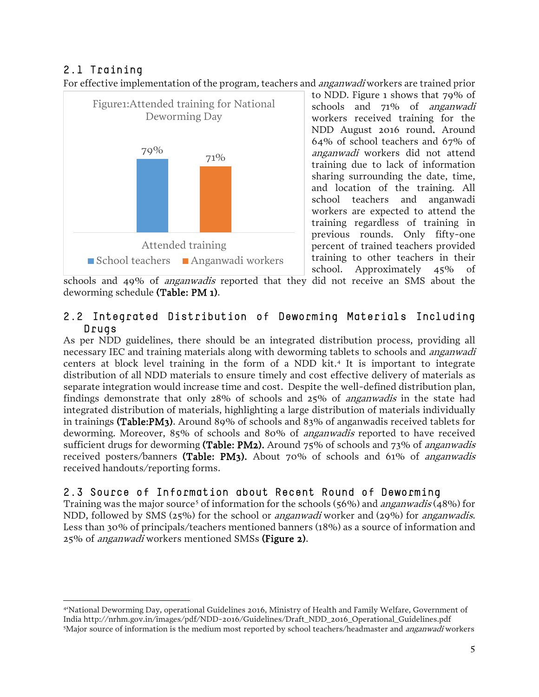## 2.1 Training

For effective implementation of the program, teachers and *anganwadi* workers are trained prior



to NDD. Figure 1 shows that 79% of schools and 71% of anganwadi workers received training for the NDD August 2016 round. Around 64% of school teachers and 67% of anganwadi workers did not attend training due to lack of information sharing surrounding the date, time, and location of the training. All school teachers and anganwadi workers are expected to attend the training regardless of training in previous rounds. Only fifty-one percent of trained teachers provided training to other teachers in their school. Approximately 45% of

schools and 49% of anganwadis reported that they did not receive an SMS about the deworming schedule (Table: PM 1).

#### <span id="page-6-0"></span>2.2 Integrated Distribution of Deworming Materials Including Drugs

As per NDD guidelines, there should be an integrated distribution process, providing all necessary IEC and training materials along with deworming tablets to schools and anganwadi centers at block level training in the form of a NDD kit. [4](#page-6-2) It is important to integrate distribution of all NDD materials to ensure timely and cost effective delivery of materials as separate integration would increase time and cost. Despite the well-defined distribution plan, findings demonstrate that only 28% of schools and 25% of anganwadis in the state had integrated distribution of materials, highlighting a large distribution of materials individually in trainings (Table:PM3). Around 89% of schools and 83% of anganwadis received tablets for deworming. Moreover, 85% of schools and 80% of anganwadis reported to have received sufficient drugs for deworming (Table: PM2). Around 75% of schools and 73% of *anganwadis* received posters/banners (Table: PM3). About 70% of schools and 61% of *anganwadis* received handouts/reporting forms.

### <span id="page-6-1"></span>2.3 Source of Information about Recent Round of Deworming

Training was the major source<sup>[5](#page-6-3)</sup> of information for the schools (56%) and *anganwadis* (48%) for NDD, followed by SMS (25%) for the school or anganwadi worker and (29%) for anganwadis. Less than 30% of principals/teachers mentioned banners (18%) as a source of information and 25% of anganwadi workers mentioned SMSs (Figure 2).

<span id="page-6-3"></span><span id="page-6-2"></span> <sup>4&#</sup>x27;National Deworming Day, operational Guidelines 2016, Ministry of Health and Family Welfare, Government of India http://nrhm.gov.in/images/pdf/NDD-2016/Guidelines/Draft\_NDD\_2016\_Operational\_Guidelines.pdf <sup>5</sup>Major source of information is the medium most reported by school teachers/headmaster and *anganwadi* workers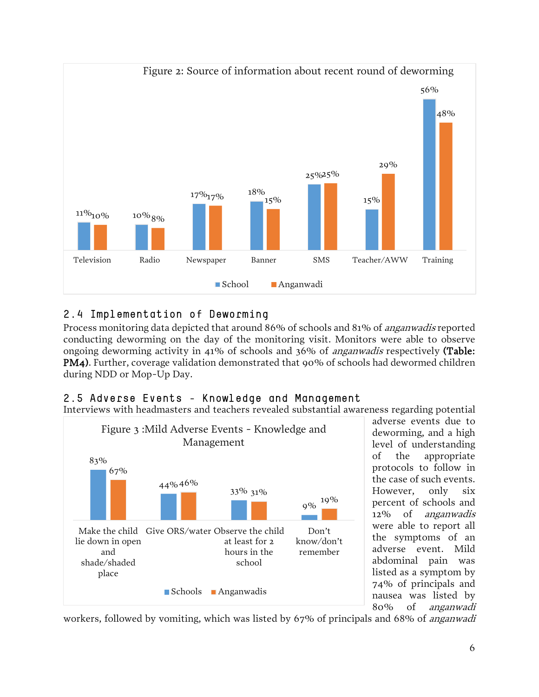

# 2.4 Implementation of Deworming

Process monitoring data depicted that around 86% of schools and 81% of *anganwadis* reported conducting deworming on the day of the monitoring visit. Monitors were able to observe ongoing deworming activity in 41% of schools and 36% of anganwadis respectively (Table: PM4). Further, coverage validation demonstrated that 90% of schools had dewormed children during NDD or Mop-Up Day.

#### <span id="page-7-0"></span>2.5 Adverse Events - Knowledge and Management

Interviews with headmasters and teachers revealed substantial awareness regarding potential



adverse events due to deworming, and a high level of understanding of the appropriate protocols to follow in the case of such events. However, only six percent of schools and 12% of anganwadis were able to report all the symptoms of an adverse event. Mild abdominal pain was listed as a symptom by 74% of principals and nausea was listed by 80% of anganwadi

workers, followed by vomiting, which was listed by 67% of principals and 68% of anganwadi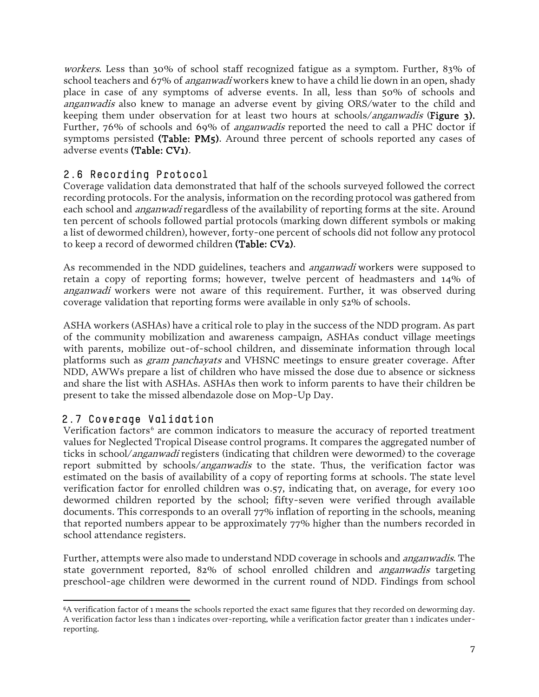workers. Less than 30% of school staff recognized fatigue as a symptom. Further, 83% of school teachers and 67% of *anganwadi* workers knew to have a child lie down in an open, shady place in case of any symptoms of adverse events. In all, less than 50% of schools and anganwadis also knew to manage an adverse event by giving ORS/water to the child and keeping them under observation for at least two hours at schools/*anganwadis* (**Figure 3).** Further, 76% of schools and 69% of *anganwadis* reported the need to call a PHC doctor if symptoms persisted (Table: PM5). Around three percent of schools reported any cases of adverse events (Table: CV1).

### <span id="page-8-0"></span>2.6 Recording Protocol

Coverage validation data demonstrated that half of the schools surveyed followed the correct recording protocols. For the analysis, information on the recording protocol was gathered from each school and *anganwadi* regardless of the availability of reporting forms at the site. Around ten percent of schools followed partial protocols (marking down different symbols or making a list of dewormed children), however, forty-one percent of schools did not follow any protocol to keep a record of dewormed children (Table: CV2).

As recommended in the NDD guidelines, teachers and *anganwadi* workers were supposed to retain a copy of reporting forms; however, twelve percent of headmasters and 14% of anganwadi workers were not aware of this requirement. Further, it was observed during coverage validation that reporting forms were available in only 52% of schools.

ASHA workers (ASHAs) have a critical role to play in the success of the NDD program. As part of the community mobilization and awareness campaign, ASHAs conduct village meetings with parents, mobilize out-of-school children, and disseminate information through local platforms such as gram panchayats and VHSNC meetings to ensure greater coverage. After NDD, AWWs prepare a list of children who have missed the dose due to absence or sickness and share the list with ASHAs. ASHAs then work to inform parents to have their children be present to take the missed albendazole dose on Mop-Up Day.

### <span id="page-8-1"></span>2.7 Coverage Validation

l

Verification factors<sup>[6](#page-8-2)</sup> are common indicators to measure the accuracy of reported treatment values for Neglected Tropical Disease control programs. It compares the aggregated number of ticks in school/*anganwadi* registers (indicating that children were dewormed) to the coverage report submitted by schools/*anganwadis* to the state. Thus, the verification factor was estimated on the basis of availability of a copy of reporting forms at schools. The state level verification factor for enrolled children was 0.57, indicating that, on average, for every 100 dewormed children reported by the school; fifty-seven were verified through available documents. This corresponds to an overall 77% inflation of reporting in the schools, meaning that reported numbers appear to be approximately 77% higher than the numbers recorded in school attendance registers.

Further, attempts were also made to understand NDD coverage in schools and anganwadis. The state government reported, 82% of school enrolled children and anganwadis targeting preschool-age children were dewormed in the current round of NDD. Findings from school

<span id="page-8-2"></span><sup>6</sup>A verification factor of 1 means the schools reported the exact same figures that they recorded on deworming day. A verification factor less than 1 indicates over-reporting, while a verification factor greater than 1 indicates underreporting.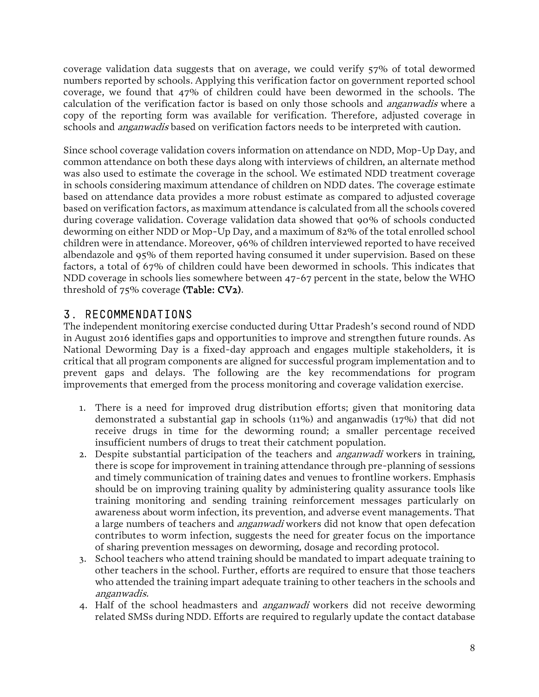coverage validation data suggests that on average, we could verify 57% of total dewormed numbers reported by schools. Applying this verification factor on government reported school coverage, we found that 47% of children could have been dewormed in the schools. The calculation of the verification factor is based on only those schools and *anganwadis* where a copy of the reporting form was available for verification. Therefore, adjusted coverage in schools and *anganwadis* based on verification factors needs to be interpreted with caution.

Since school coverage validation covers information on attendance on NDD, Mop-Up Day, and common attendance on both these days along with interviews of children, an alternate method was also used to estimate the coverage in the school. We estimated NDD treatment coverage in schools considering maximum attendance of children on NDD dates. The coverage estimate based on attendance data provides a more robust estimate as compared to adjusted coverage based on verification factors, as maximum attendance is calculated from all the schools covered during coverage validation. Coverage validation data showed that 90% of schools conducted deworming on either NDD or Mop-Up Day, and a maximum of 82% of the total enrolled school children were in attendance. Moreover, 96% of children interviewed reported to have received albendazole and 95% of them reported having consumed it under supervision. Based on these factors, a total of 67% of children could have been dewormed in schools. This indicates that NDD coverage in schools lies somewhere between 47-67 percent in the state, below the WHO threshold of 75% coverage (Table: CV2).

# <span id="page-9-0"></span>3. RECOMMENDATIONS

The independent monitoring exercise conducted during Uttar Pradesh's second round of NDD in August 2016 identifies gaps and opportunities to improve and strengthen future rounds. As National Deworming Day is a fixed-day approach and engages multiple stakeholders, it is critical that all program components are aligned for successful program implementation and to prevent gaps and delays. The following are the key recommendations for program improvements that emerged from the process monitoring and coverage validation exercise.

- 1. There is a need for improved drug distribution efforts; given that monitoring data demonstrated a substantial gap in schools (11%) and anganwadis (17%) that did not receive drugs in time for the deworming round; a smaller percentage received insufficient numbers of drugs to treat their catchment population.
- 2. Despite substantial participation of the teachers and *anganwadi* workers in training, there is scope for improvement in training attendance through pre-planning of sessions and timely communication of training dates and venues to frontline workers. Emphasis should be on improving training quality by administering quality assurance tools like training monitoring and sending training reinforcement messages particularly on awareness about worm infection, its prevention, and adverse event managements. That a large numbers of teachers and *anganwadi* workers did not know that open defecation contributes to worm infection, suggests the need for greater focus on the importance of sharing prevention messages on deworming, dosage and recording protocol.
- 3. School teachers who attend training should be mandated to impart adequate training to other teachers in the school. Further, efforts are required to ensure that those teachers who attended the training impart adequate training to other teachers in the schools and anganwadis.
- 4. Half of the school headmasters and *anganwadi* workers did not receive deworming related SMSs during NDD. Efforts are required to regularly update the contact database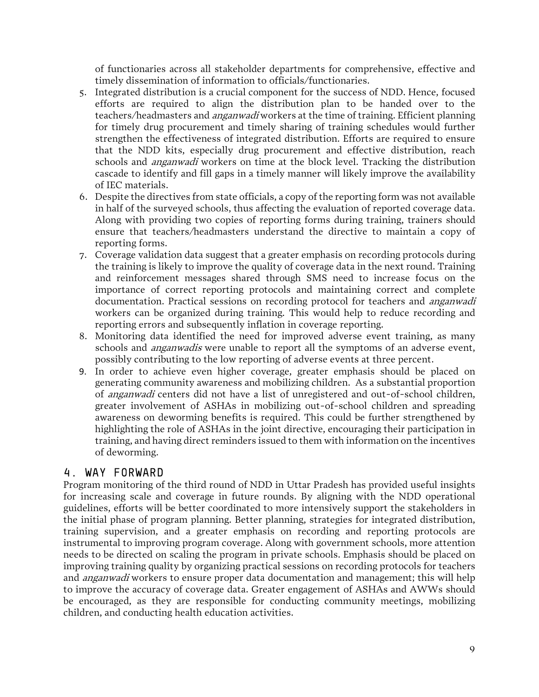of functionaries across all stakeholder departments for comprehensive, effective and timely dissemination of information to officials/functionaries.

- 5. Integrated distribution is a crucial component for the success of NDD. Hence, focused efforts are required to align the distribution plan to be handed over to the teachers/headmasters and *anganwadi* workers at the time of training. Efficient planning for timely drug procurement and timely sharing of training schedules would further strengthen the effectiveness of integrated distribution. Efforts are required to ensure that the NDD kits, especially drug procurement and effective distribution, reach schools and *anganwadi* workers on time at the block level. Tracking the distribution cascade to identify and fill gaps in a timely manner will likely improve the availability of IEC materials.
- 6. Despite the directives from state officials, a copy of the reporting form was not available in half of the surveyed schools, thus affecting the evaluation of reported coverage data. Along with providing two copies of reporting forms during training, trainers should ensure that teachers/headmasters understand the directive to maintain a copy of reporting forms.
- 7. Coverage validation data suggest that a greater emphasis on recording protocols during the training is likely to improve the quality of coverage data in the next round. Training and reinforcement messages shared through SMS need to increase focus on the importance of correct reporting protocols and maintaining correct and complete documentation. Practical sessions on recording protocol for teachers and *anganwadi* workers can be organized during training. This would help to reduce recording and reporting errors and subsequently inflation in coverage reporting.
- 8. Monitoring data identified the need for improved adverse event training, as many schools and *anganwadis* were unable to report all the symptoms of an adverse event, possibly contributing to the low reporting of adverse events at three percent.
- 9. In order to achieve even higher coverage, greater emphasis should be placed on generating community awareness and mobilizing children. As a substantial proportion of anganwadi centers did not have a list of unregistered and out-of-school children, greater involvement of ASHAs in mobilizing out-of-school children and spreading awareness on deworming benefits is required. This could be further strengthened by highlighting the role of ASHAs in the joint directive, encouraging their participation in training, and having direct reminders issued to them with information on the incentives of deworming.

# <span id="page-10-0"></span>4. WAY FORWARD

Program monitoring of the third round of NDD in Uttar Pradesh has provided useful insights for increasing scale and coverage in future rounds. By aligning with the NDD operational guidelines, efforts will be better coordinated to more intensively support the stakeholders in the initial phase of program planning. Better planning, strategies for integrated distribution, training supervision, and a greater emphasis on recording and reporting protocols are instrumental to improving program coverage. Along with government schools, more attention needs to be directed on scaling the program in private schools. Emphasis should be placed on improving training quality by organizing practical sessions on recording protocols for teachers and *anganwadi* workers to ensure proper data documentation and management; this will help to improve the accuracy of coverage data. Greater engagement of ASHAs and AWWs should be encouraged, as they are responsible for conducting community meetings, mobilizing children, and conducting health education activities.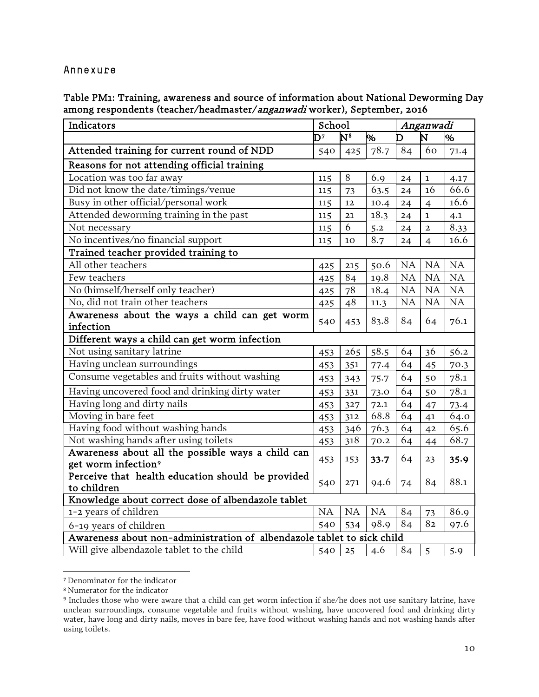#### <span id="page-11-0"></span>Annexure

Table PM1: Training, awareness and source of information about National Deworming Day among respondents (teacher/headmaster/anganwadi worker), September, 2016

| Indicators                                                             | School                                                      |         |           | Anganwadi |                |      |
|------------------------------------------------------------------------|-------------------------------------------------------------|---------|-----------|-----------|----------------|------|
|                                                                        | $\mathbf{N}^{\mathbf{8}}$<br>$\overline{\mathsf{D}^7}$<br>% |         |           | D         | N              | 0%   |
| Attended training for current round of NDD                             | 540                                                         | 425     | 78.7      | 84        | 60             | 71.4 |
| Reasons for not attending official training                            |                                                             |         |           |           |                |      |
| Location was too far away                                              | 115                                                         | $\,8\,$ | 6.9       | 24        | $\mathbf 1$    | 4.17 |
| Did not know the date/timings/venue                                    | 115                                                         | 73      | 63.5      | 24        | 16             | 66.6 |
| Busy in other official/personal work                                   | 115                                                         | 12      | 10.4      | 24        | $\overline{4}$ | 16.6 |
| Attended deworming training in the past                                | 115                                                         | 21      | 18.3      | 24        | $\mathbf 1$    | 4.1  |
| Not necessary                                                          | 115                                                         | 6       | 5.2       | 24        | $\overline{a}$ | 8.33 |
| No incentives/no financial support                                     | 115                                                         | 10      | 8.7       | 24        | $\overline{4}$ | 16.6 |
| Trained teacher provided training to                                   |                                                             |         |           |           |                |      |
| All other teachers                                                     | 425                                                         | 215     | 50.6      | <b>NA</b> | <b>NA</b>      | NA   |
| Few teachers                                                           | 425                                                         | 84      | 19.8      | <b>NA</b> | NA             | NA   |
| No (himself/herself only teacher)                                      | 425                                                         | 78      | 18.4      | NA        | NA             | NA   |
| No, did not train other teachers                                       | 425                                                         | 48      | 11.3      | NA        | NA             | NA   |
| Awareness about the ways a child can get worm                          |                                                             |         |           | 84        | 64             | 76.1 |
| infection                                                              | 540                                                         | 453     | 83.8      |           |                |      |
| Different ways a child can get worm infection                          |                                                             |         |           |           |                |      |
| Not using sanitary latrine                                             | 453                                                         | 265     | 58.5      | 64        | 36             | 56.2 |
| Having unclean surroundings                                            | 453                                                         | 351     | 77.4      | 64        | 45             | 70.3 |
| Consume vegetables and fruits without washing                          | 453                                                         | 343     | 75.7      | 64        | 50             | 78.1 |
| Having uncovered food and drinking dirty water                         | 453                                                         | 331     | 73.0      | 64        | 50             | 78.1 |
| Having long and dirty nails                                            | 453                                                         | 327     | 72.1      | 64        | 47             | 73.4 |
| Moving in bare feet                                                    | 453                                                         | 312     | 68.8      | 64        | 41             | 64.0 |
| Having food without washing hands                                      | 453                                                         | 346     | 76.3      | 64        | 42             | 65.6 |
| Not washing hands after using toilets                                  | 453                                                         | 318     | 70.2      | 64        | 44             | 68.7 |
| Awareness about all the possible ways a child can                      | 453                                                         | 153     | 33.7      | 64        | 23             | 35.9 |
| get worm infection <sup>9</sup>                                        |                                                             |         |           |           |                |      |
| Perceive that health education should be provided                      | 540                                                         | 271     | 94.6      | 74        | 84             | 88.1 |
| to children                                                            |                                                             |         |           |           |                |      |
| Knowledge about correct dose of albendazole tablet                     |                                                             |         |           |           |                |      |
| 1-2 years of children                                                  | <b>NA</b>                                                   | NA      | <b>NA</b> | 84        | 73             | 86.9 |
| 6-19 years of children                                                 | 540                                                         | 534     | 98.9      | 84        | 82             | 97.6 |
| Awareness about non-administration of albendazole tablet to sick child |                                                             |         |           |           |                |      |
| Will give albendazole tablet to the child                              | 540                                                         | 25      | 4.6       | 84        | $\overline{5}$ | 5.9  |

<span id="page-11-1"></span><sup>7</sup> Denominator for the indicator

<span id="page-11-2"></span><sup>8</sup> Numerator for the indicator

<span id="page-11-3"></span><sup>9</sup> Includes those who were aware that a child can get worm infection if she/he does not use sanitary latrine, have unclean surroundings, consume vegetable and fruits without washing, have uncovered food and drinking dirty water, have long and dirty nails, moves in bare fee, have food without washing hands and not washing hands after using toilets.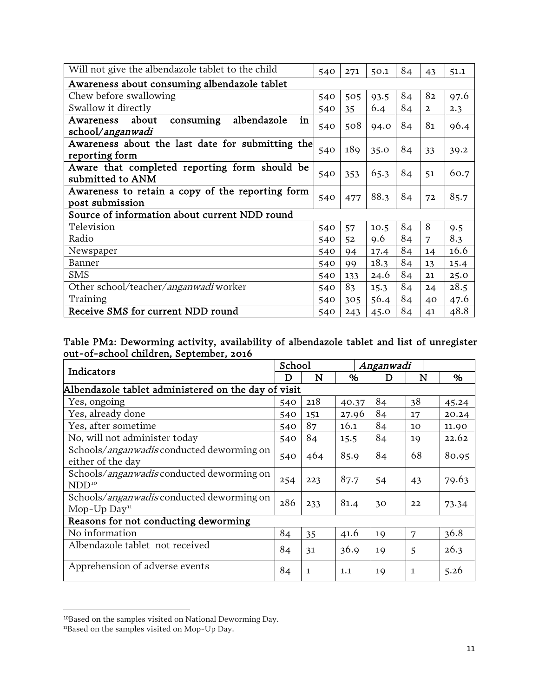| Will not give the albendazole tablet to the child                        | 540 | 271 | 50.1 | 84 | 43             | 51.1 |  |  |  |  |
|--------------------------------------------------------------------------|-----|-----|------|----|----------------|------|--|--|--|--|
| Awareness about consuming albendazole tablet                             |     |     |      |    |                |      |  |  |  |  |
| Chew before swallowing                                                   | 540 | 505 | 93.5 | 84 | 82             | 97.6 |  |  |  |  |
| Swallow it directly                                                      | 540 | 35  | 6.4  | 84 | $\overline{2}$ | 2.3  |  |  |  |  |
| consuming<br>albendazole<br>in<br>about<br>Awareness<br>school/anganwadi | 540 | 508 | 94.0 | 84 | 81             | 96.4 |  |  |  |  |
| Awareness about the last date for submitting the<br>reporting form       | 540 | 189 | 35.0 | 84 | 33             | 39.2 |  |  |  |  |
| Aware that completed reporting form should be<br>submitted to ANM        | 540 | 353 | 65.3 | 84 | 51             | 60.7 |  |  |  |  |
| Awareness to retain a copy of the reporting form<br>post submission      | 540 | 477 | 88.3 | 84 | 72             | 85.7 |  |  |  |  |
| Source of information about current NDD round                            |     |     |      |    |                |      |  |  |  |  |
| Television                                                               | 540 | 57  | 10.5 | 84 | 8              | 9.5  |  |  |  |  |
| Radio                                                                    | 540 | 52  | 9.6  | 84 | 7              | 8.3  |  |  |  |  |
| Newspaper                                                                | 540 | 94  | 17.4 | 84 | 14             | 16.6 |  |  |  |  |
| Banner                                                                   | 540 | 99  | 18.3 | 84 | 13             | 15.4 |  |  |  |  |
| <b>SMS</b>                                                               | 540 | 133 | 24.6 | 84 | 21             | 25.0 |  |  |  |  |
| Other school/teacher/anganwadi worker                                    | 540 | 83  | 15.3 | 84 | 24             | 28.5 |  |  |  |  |
| Training                                                                 | 540 | 305 | 56.4 | 84 | 40             | 47.6 |  |  |  |  |
| Receive SMS for current NDD round                                        | 540 | 243 | 45.0 | 84 | 41             | 48.8 |  |  |  |  |

Table PM2: Deworming activity, availability of albendazole tablet and list of unregister out-of-school children, September, 2016

| Indicators                                                                       |     | School       |       | Anganwadi |              |       |
|----------------------------------------------------------------------------------|-----|--------------|-------|-----------|--------------|-------|
|                                                                                  |     | N            | %     | D         | N            | %     |
| Albendazole tablet administered on the day of visit                              |     |              |       |           |              |       |
| Yes, ongoing                                                                     | 540 | 218          | 40.37 | 84        | 38           | 45.24 |
| Yes, already done                                                                | 540 | 151          | 27.96 | 84        | 17           | 20.24 |
| Yes, after sometime                                                              | 540 | 87           | 16.1  | 84        | 10           | 11.90 |
| No, will not administer today                                                    | 540 | 84           | 15.5  | 84        | 19           | 22.62 |
| Schools/ <i>anganwadis</i> conducted deworming on<br>either of the day           | 540 | 464          | 85.9  | 84        | 68           | 80.95 |
| Schools/ <i>anganwadis</i> conducted deworming on<br>$NDD^{10}$                  | 254 | 223          | 87.7  | 54        | 43           | 79.63 |
| Schools/ <i>anganwadis</i> conducted deworming on<br>Mop- $Up$ Day <sup>11</sup> | 286 | 233          | 81.4  | 30        | 22           | 73.34 |
| Reasons for not conducting deworming                                             |     |              |       |           |              |       |
| No information                                                                   | 84  | 35           | 41.6  | 19        | 7            | 36.8  |
| Albendazole tablet not received                                                  | 84  | 31           | 36.9  | 19        | 5            | 26.3  |
| Apprehension of adverse events                                                   | 84  | $\mathbf{1}$ | 1.1   | 19        | $\mathbf{1}$ | 5.26  |

<span id="page-12-0"></span><sup>10</sup>Based on the samples visited on National Deworming Day.

<span id="page-12-1"></span><sup>&</sup>lt;sup>11</sup>Based on the samples visited on Mop-Up Day.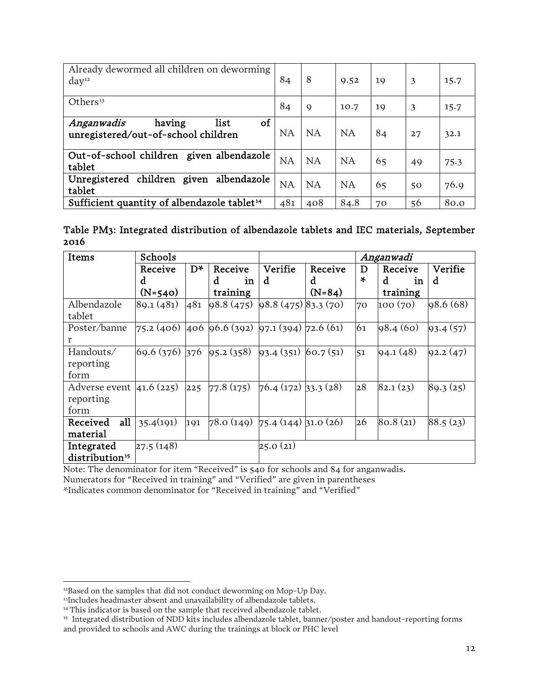| Already dewormed all children on deworming<br>day <sup>12</sup>           | 84  | 8           | 9.52      | 19 | 3  | 15.7 |
|---------------------------------------------------------------------------|-----|-------------|-----------|----|----|------|
| Others <sup>13</sup>                                                      | 84  | $\mathbf Q$ | 10.7      | 19 | 3  | 15.7 |
| of<br>list<br>Anganwadis<br>having<br>unregistered/out-of-school children | NA  | NA          | <b>NA</b> | 84 | 27 | 32.1 |
| Out-of-school children given albendazole<br>tablet                        | NA  | NA          | NA        | 65 | 49 | 75.3 |
| Unregistered children given albendazole<br>tablet                         | NA  | NA          | <b>NA</b> | 65 | 50 | 76.9 |
| Sufficient quantity of albendazole tablet <sup>14</sup>                   | 481 | 408         | 84.8      | 70 | 56 | 80.0 |

Table PM3: Integrated distribution of albendazole tablets and IEC materials, September 2016

| Items                       | Schools         |       |                                                 | Anganwadi            |          |        |          |           |
|-----------------------------|-----------------|-------|-------------------------------------------------|----------------------|----------|--------|----------|-----------|
|                             | Receive         | $D^*$ | Receive                                         | Verifie              | Receive  | D      | Receive  | Verifie   |
|                             | d               |       | d<br>in                                         | d                    | d        | $\ast$ | d<br>in  | d         |
|                             | $(N=540)$       |       | training                                        |                      | $(N=84)$ |        | training |           |
| Albendazole                 | 89.1(481)       | 481   | 98.8(475)                                       | 98.8(475)83.3(70)    |          | 70     | 100 (70) | 98.6(68)  |
| tablet                      |                 |       |                                                 |                      |          |        |          |           |
| Poster/banne                |                 |       | $75.2(406)$ 406 96.6 (392) 97.1 (394) 72.6 (61) |                      |          | 61     | 98.4(60) | 93.4(57)  |
| r                           |                 |       |                                                 |                      |          |        |          |           |
| Handouts/                   | $69.6(376)$ 376 |       | 95.2(358)                                       | $93.4(351)$ 60.7(51) |          | 51     | 94.1(48) | 92.2(47)  |
| reporting                   |                 |       |                                                 |                      |          |        |          |           |
| form                        |                 |       |                                                 |                      |          |        |          |           |
| Adverse event $ 41.6(225) $ |                 | 225   | $77.8(175)$ 76.4 (172) 33.3 (28)                |                      |          | 28     | 82.1(23) | 89.3 (25) |
| reporting                   |                 |       |                                                 |                      |          |        |          |           |
| form                        |                 |       |                                                 |                      |          |        |          |           |
| all<br>Received             | 35.4(191)       | 191   | $78.0 (149)$ 75.4 (144) 31.0 (26)               |                      |          | 26     | 80.8(21) | 88.5(23)  |
| material                    |                 |       |                                                 |                      |          |        |          |           |
| Integrated                  | 27.5(148)       |       |                                                 | 25.0(21)             |          |        |          |           |
| distribution <sup>15</sup>  |                 |       |                                                 |                      |          |        |          |           |

Note: The denominator for item "Received" is 540 for schools and 84 for anganwadis.

Numerators for "Received in training" and "Verified" are given in parentheses

\*Indicates common denominator for "Received in training" and "Verified"

<span id="page-13-0"></span><sup>&</sup>lt;sup>12</sup>Based on the samples that did not conduct deworming on Mop-Up Day.

<span id="page-13-1"></span><sup>&</sup>lt;sup>13</sup>Includes headmaster absent and unavailability of albendazole tablets.

<span id="page-13-2"></span><sup>&</sup>lt;sup>14</sup> This indicator is based on the sample that received albendazole tablet.

<span id="page-13-3"></span><sup>&</sup>lt;sup>15</sup> Integrated distribution of NDD kits includes albendazole tablet, banner/poster and handout-reporting forms and provided to schools and AWC during the trainings at block or PHC level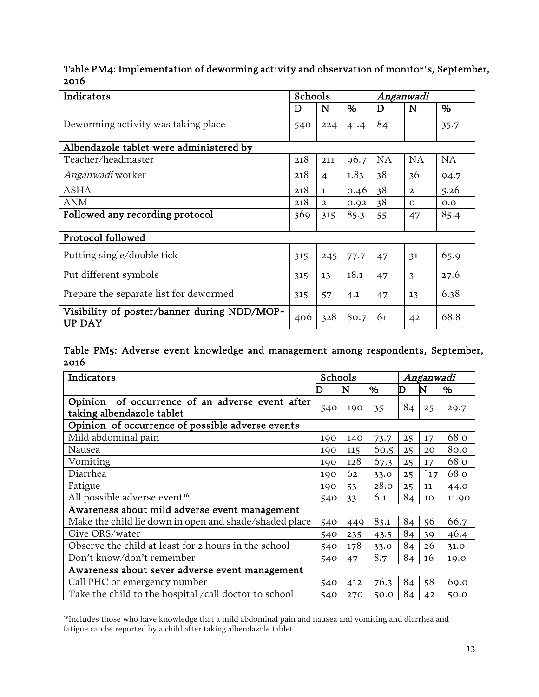Table PM4: Implementation of deworming activity and observation of monitor's, September, 2016

| Indicators                                                   | Schools |                |      | Anganwadi |                |           |  |
|--------------------------------------------------------------|---------|----------------|------|-----------|----------------|-----------|--|
|                                                              | D       | $\mathbf N$    | $\%$ | D         | N              | %         |  |
| Deworming activity was taking place                          | 540     | 224            | 41.4 | 84        |                | 35.7      |  |
| Albendazole tablet were administered by                      |         |                |      |           |                |           |  |
| Teacher/headmaster                                           | 218     | 211            | 96.7 | <b>NA</b> | <b>NA</b>      | <b>NA</b> |  |
| <i>Anganwadi</i> worker                                      | 218     | $\overline{4}$ | 1.83 | 38        | 36             | 94.7      |  |
| <b>ASHA</b>                                                  | 218     | $\mathbf{1}$   | 0.46 | 38        | $\overline{2}$ | 5.26      |  |
| <b>ANM</b>                                                   | 218     | $\overline{2}$ | 0.92 | 38        | $\Omega$       | 0.0       |  |
| Followed any recording protocol                              | 369     | 315            | 85.3 | 55        | 47             | 85.4      |  |
| Protocol followed                                            |         |                |      |           |                |           |  |
| Putting single/double tick                                   | 315     | 245            | 77.7 | 47        | 31             | 65.9      |  |
| Put different symbols                                        | 315     | 13             | 18.1 | 47        | 3              | 27.6      |  |
| Prepare the separate list for dewormed                       | 315     | 57             | 4.1  | 47        | 13             | 6.38      |  |
| Visibility of poster/banner during NDD/MOP-<br><b>UP DAY</b> | 406     | 328            | 80.7 | 61        | 42             | 68.8      |  |

#### Table PM5: Adverse event knowledge and management among respondents, September, 2016

| Indicators                                                                      | Schools |     |      | Anganwadi |            |       |
|---------------------------------------------------------------------------------|---------|-----|------|-----------|------------|-------|
|                                                                                 |         | N   | %    | D         | N          | %     |
| of occurrence of an adverse event after<br>Opinion<br>taking albendazole tablet | 540     | 190 | 35   | 84        | 25         | 29.7  |
| Opinion of occurrence of possible adverse events                                |         |     |      |           |            |       |
| Mild abdominal pain                                                             | 190     | 140 | 73.7 | 25        | 17         | 68.0  |
| Nausea                                                                          | 190     | 115 | 60.5 | 25        | 20         | 80.0  |
| Vomiting                                                                        | 190     | 128 | 67.3 | 25        | 17         | 68.0  |
| Diarrhea                                                                        | 190     | 62  | 33.0 | 25        | $\cdot$ 17 | 68.0  |
| Fatigue                                                                         | 190     | 53  | 28.0 | 25        | 11         | 44.0  |
| All possible adverse event <sup>16</sup>                                        | 540     | 33  | 6.1  | 84        | 10         | 11.90 |
| Awareness about mild adverse event management                                   |         |     |      |           |            |       |
| Make the child lie down in open and shade/shaded place                          | 540     | 449 | 83.1 | 84        | 56         | 66.7  |
| Give ORS/water                                                                  | 540     | 235 | 43.5 | 84        | 39         | 46.4  |
| Observe the child at least for 2 hours in the school                            | 540     | 178 | 33.0 | 84        | 26         | 31.0  |
| Don't know/don't remember                                                       | 540     | 47  | 8.7  | 84        | 16         | 19.0  |
| Awareness about sever adverse event management                                  |         |     |      |           |            |       |
| Call PHC or emergency number                                                    | 540     | 412 | 76.3 | 84        | 58         | 69.0  |
| Take the child to the hospital /call doctor to school                           | 540     | 270 | 50.0 | 84        | 42         | 50.0  |

<span id="page-14-0"></span><sup>16</sup>Includes those who have knowledge that a mild abdominal pain and nausea and vomiting and diarrhea and fatigue can be reported by a child after taking albendazole tablet.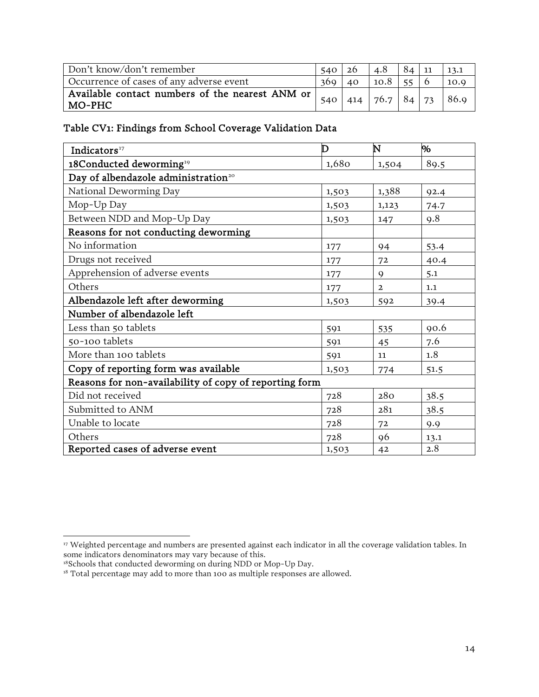| Don't know/don't remember                                   | $540 \mid 26$ |    | 4.8                  | $84 \mid 11$ |      |
|-------------------------------------------------------------|---------------|----|----------------------|--------------|------|
| Occurrence of cases of any adverse event                    | 369           | 40 | 10.8                 |              | 10.9 |
| Available contact numbers of the nearest ANM or<br>  MO-PHC | 540           |    | 414   76.7   84   73 |              | 86.9 |

Table CV1: Findings from School Coverage Validation Data

| Indicators <sup>17</sup>                               | D     | N              | %    |  |  |  |  |  |  |
|--------------------------------------------------------|-------|----------------|------|--|--|--|--|--|--|
| 18Conducted deworming <sup>19</sup>                    | 1,680 | 1,504          | 89.5 |  |  |  |  |  |  |
| Day of albendazole administration <sup>20</sup>        |       |                |      |  |  |  |  |  |  |
| National Deworming Day                                 | 1,503 | 1,388          | 92.4 |  |  |  |  |  |  |
| Mop-Up Day                                             | 1,503 | 1,123          | 74.7 |  |  |  |  |  |  |
| Between NDD and Mop-Up Day                             | 1,503 | 147            | 9.8  |  |  |  |  |  |  |
| Reasons for not conducting deworming                   |       |                |      |  |  |  |  |  |  |
| No information                                         | 177   | 94             | 53.4 |  |  |  |  |  |  |
| Drugs not received                                     | 177   | 72             | 40.4 |  |  |  |  |  |  |
| Apprehension of adverse events                         | 177   | $\mathbf Q$    | 5.1  |  |  |  |  |  |  |
| Others                                                 | 177   | $\overline{2}$ | 1.1  |  |  |  |  |  |  |
| Albendazole left after deworming                       | 1,503 | 592            | 39.4 |  |  |  |  |  |  |
| Number of albendazole left                             |       |                |      |  |  |  |  |  |  |
| Less than 50 tablets                                   | 591   | 535            | 90.6 |  |  |  |  |  |  |
| 50-100 tablets                                         | 591   | 45             | 7.6  |  |  |  |  |  |  |
| More than 100 tablets                                  | 591   | 11             | 1.8  |  |  |  |  |  |  |
| Copy of reporting form was available                   | 1,503 | 774            | 51.5 |  |  |  |  |  |  |
| Reasons for non-availability of copy of reporting form |       |                |      |  |  |  |  |  |  |
| Did not received                                       | 728   | 280            | 38.5 |  |  |  |  |  |  |
| Submitted to ANM                                       | 728   | 281            | 38.5 |  |  |  |  |  |  |
| Unable to locate                                       | 728   | 72             | 9.9  |  |  |  |  |  |  |
| Others                                                 | 728   | 96             | 13.1 |  |  |  |  |  |  |
| Reported cases of adverse event                        | 1,503 | 42             | 2.8  |  |  |  |  |  |  |

<span id="page-15-0"></span><sup>&</sup>lt;sup>17</sup> Weighted percentage and numbers are presented against each indicator in all the coverage validation tables. In some indicators denominators may vary because of this.

<span id="page-15-1"></span><sup>&</sup>lt;sup>18</sup>Schools that conducted deworming on during NDD or Mop-Up Day.

<span id="page-15-3"></span><span id="page-15-2"></span><sup>&</sup>lt;sup>18</sup> Total percentage may add to more than 100 as multiple responses are allowed.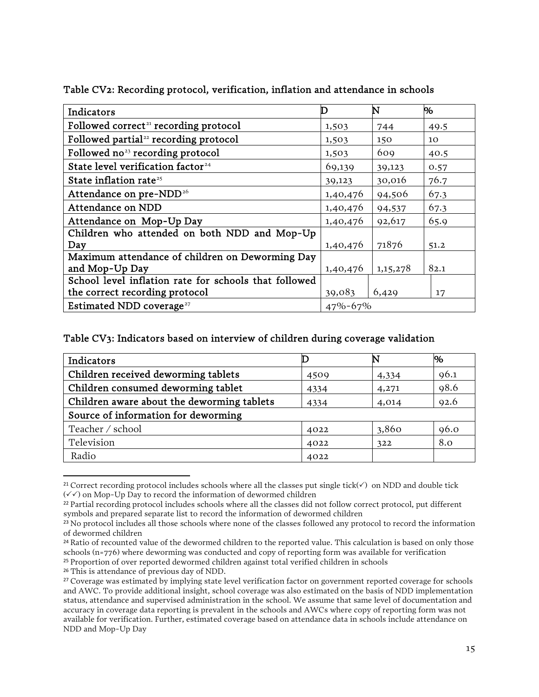| Indicators                                            |               | N        | Μ.   |  |
|-------------------------------------------------------|---------------|----------|------|--|
| Followed correct <sup>21</sup> recording protocol     | 1,503         | 744      | 49.5 |  |
| Followed partial <sup>22</sup> recording protocol     | 1,503         | 150      | 10   |  |
| Followed no <sup>23</sup> recording protocol          | 1,503         | 609      | 40.5 |  |
| State level verification factor <sup>24</sup>         | 69,139        | 39,123   | 0.57 |  |
| State inflation rate <sup>25</sup>                    | 39,123        | 30,016   | 76.7 |  |
| Attendance on pre-NDD <sup>26</sup>                   | 1,40,476      | 94,506   | 67.3 |  |
| Attendance on NDD                                     | 1,40,476      | 94,537   | 67.3 |  |
| Attendance on Mop-Up Day                              | 1,40,476      | 92,617   | 65.9 |  |
| Children who attended on both NDD and Mop-Up          |               |          |      |  |
| Day                                                   | 1,40,476      | 71876    | 51.2 |  |
| Maximum attendance of children on Deworming Day       |               |          |      |  |
| and Mop-Up Day                                        | 1,40,476      | 1,15,278 | 82.1 |  |
| School level inflation rate for schools that followed |               |          |      |  |
| the correct recording protocol                        | 39,083        | 6,429    | 17   |  |
| Estimated NDD coverage <sup>27</sup>                  | $47\% - 67\%$ |          |      |  |

Table CV2: Recording protocol, verification, inflation and attendance in schools

#### Table CV3: Indicators based on interview of children during coverage validation

| Indicators                                 |      |       | Μ,   |  |  |
|--------------------------------------------|------|-------|------|--|--|
| Children received deworming tablets        | 4509 | 4,334 | 96.1 |  |  |
| Children consumed deworming tablet         | 4334 | 4,271 | 98.6 |  |  |
| Children aware about the deworming tablets | 4334 | 4,014 | 92.6 |  |  |
| Source of information for deworming        |      |       |      |  |  |
| Teacher / school                           | 4022 | 3,860 | 96.0 |  |  |
| Television                                 | 4022 | 322   | 8.0  |  |  |
| Radio                                      | 4022 |       |      |  |  |

<span id="page-16-0"></span><sup>&</sup>lt;sup>21</sup> Correct recording protocol includes schools where all the classes put single tick( $\checkmark$ ) on NDD and double tick  $(\sqrt{\sqrt{\ }})$  on Mop-Up Day to record the information of dewormed children

<span id="page-16-1"></span><sup>&</sup>lt;sup>22</sup> Partial recording protocol includes schools where all the classes did not follow correct protocol, put different symbols and prepared separate list to record the information of dewormed children

<span id="page-16-2"></span><sup>&</sup>lt;sup>23</sup> No protocol includes all those schools where none of the classes followed any protocol to record the information of dewormed children

<span id="page-16-3"></span><sup>&</sup>lt;sup>24</sup> Ratio of recounted value of the dewormed children to the reported value. This calculation is based on only those schools (n=776) where deworming was conducted and copy of reporting form was available for verification <sup>25</sup> Proportion of over reported dewormed children against total verified children in schools

<span id="page-16-5"></span><span id="page-16-4"></span><sup>26</sup> This is attendance of previous day of NDD.

<span id="page-16-6"></span><sup>27</sup> Coverage was estimated by implying state level verification factor on government reported coverage for schools and AWC. To provide additional insight, school coverage was also estimated on the basis of NDD implementation status, attendance and supervised administration in the school. We assume that same level of documentation and accuracy in coverage data reporting is prevalent in the schools and AWCs where copy of reporting form was not available for verification. Further, estimated coverage based on attendance data in schools include attendance on NDD and Mop-Up Day